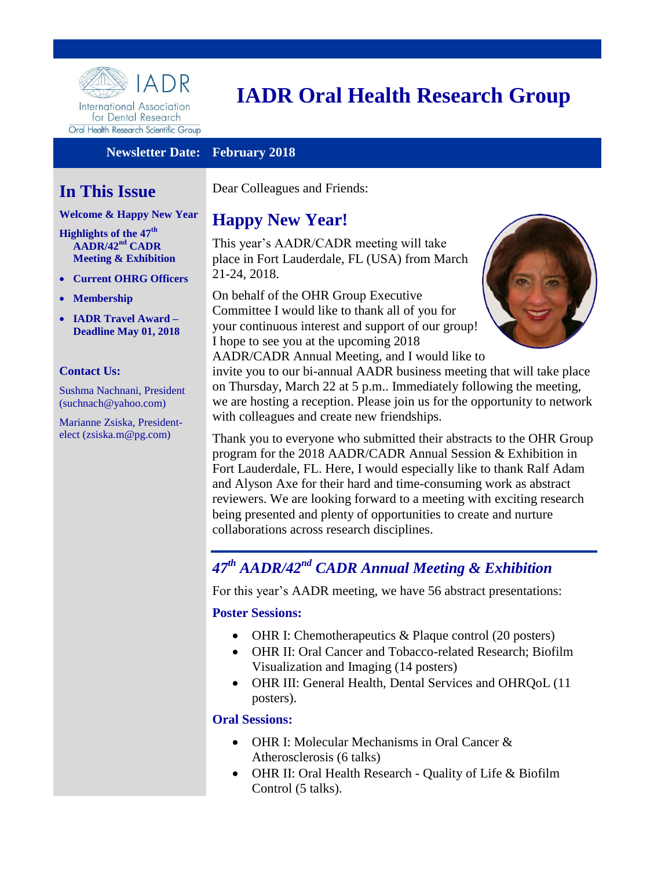

International Association for Dental Research Oral Health Research Scientific Group

# **IADR Oral Health Research Group**

#### **Newsletter Date: February 2018**

# **In This Issue**

#### **Welcome & Happy New Year**

**[Highlights of the 47](#page-0-0)th [AADR/42](#page-0-0)nd CADR [Meeting & Exhibition](#page-0-0)** 

- **Current OHRG Officers**
- **[Membership](#page-1-0)**
- **IADR Travel Award – Deadline May 01, 2018**

#### **Contact Us:**

Sushma Nachnani, President (suchnach@yahoo.com)

Marianne Zsiska, Presidentelect (zsiska.m@pg.com)

Dear Colleagues and Friends:

# **Happy New Year!**

This year's AADR/CADR meeting will take place in Fort Lauderdale, FL (USA) from March 21-24, 2018.

On behalf of the OHR Group Executive Committee I would like to thank all of you for your continuous interest and support of our group! I hope to see you at the upcoming 2018 AADR/CADR Annual Meeting, and I would like to



invite you to our bi-annual AADR business meeting that will take place on Thursday, March 22 at 5 p.m.. Immediately following the meeting, we are hosting a reception. Please join us for the opportunity to network with colleagues and create new friendships.

Thank you to everyone who submitted their abstracts to the OHR Group program for the 2018 AADR/CADR Annual Session & Exhibition in Fort Lauderdale, FL. Here, I would especially like to thank Ralf Adam and Alyson Axe for their hard and time-consuming work as abstract reviewers. We are looking forward to a meeting with exciting research being presented and plenty of opportunities to create and nurture collaborations across research disciplines.

# <span id="page-0-0"></span>*47th AADR/42nd CADR Annual Meeting & Exhibition*

For this year's AADR meeting, we have 56 abstract presentations:

#### **Poster Sessions:**

- OHR I: Chemotherapeutics & Plaque control (20 posters)
- OHR II: Oral Cancer and Tobacco-related Research; Biofilm Visualization and Imaging (14 posters)
- OHR III: General Health, Dental Services and OHRQoL (11) posters).

#### **Oral Sessions:**

- OHR I: Molecular Mechanisms in Oral Cancer & Atherosclerosis (6 talks)
- OHR II: Oral Health Research Quality of Life & Biofilm Control (5 talks).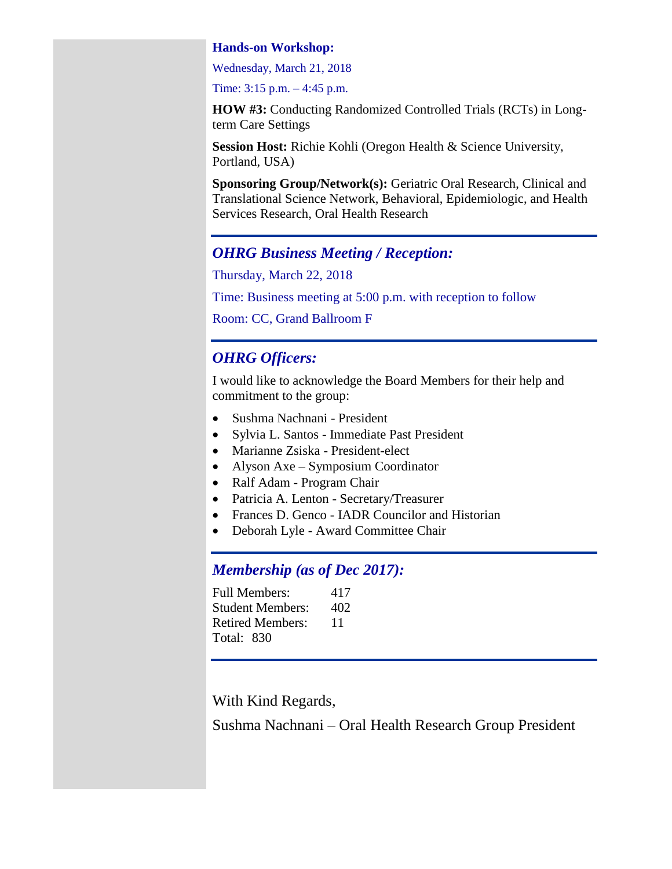#### **Hands-on Workshop:**

Wednesday, March 21, 2018

Time: 3:15 p.m. – 4:45 p.m.

**HOW #3:** Conducting Randomized Controlled Trials (RCTs) in Longterm Care Settings

**Session Host:** Richie Kohli (Oregon Health & Science University, Portland, USA)

**Sponsoring Group/Network(s):** Geriatric Oral Research, Clinical and Translational Science Network, Behavioral, Epidemiologic, and Health Services Research, Oral Health Research

#### *OHRG Business Meeting / Reception:*

Thursday, March 22, 2018

Time: Business meeting at 5:00 p.m. with reception to follow

Room: CC, Grand Ballroom F

# *OHRG Officers:*

I would like to acknowledge the Board Members for their help and commitment to the group:

- Sushma Nachnani President
- Sylvia L. Santos Immediate Past President
- Marianne Zsiska President-elect
- Alyson Axe Symposium Coordinator
- Ralf Adam Program Chair
- Patricia A. Lenton Secretary/Treasurer
- Frances D. Genco IADR Councilor and Historian
- Deborah Lyle Award Committee Chair

# *Membership (as of Dec 2017):*

<span id="page-1-0"></span>

| <b>Full Members:</b>    | 417 |
|-------------------------|-----|
| <b>Student Members:</b> | 402 |
| <b>Retired Members:</b> | 11  |
| <b>Total: 830</b>       |     |

With Kind Regards,

Sushma Nachnani – Oral Health Research Group President